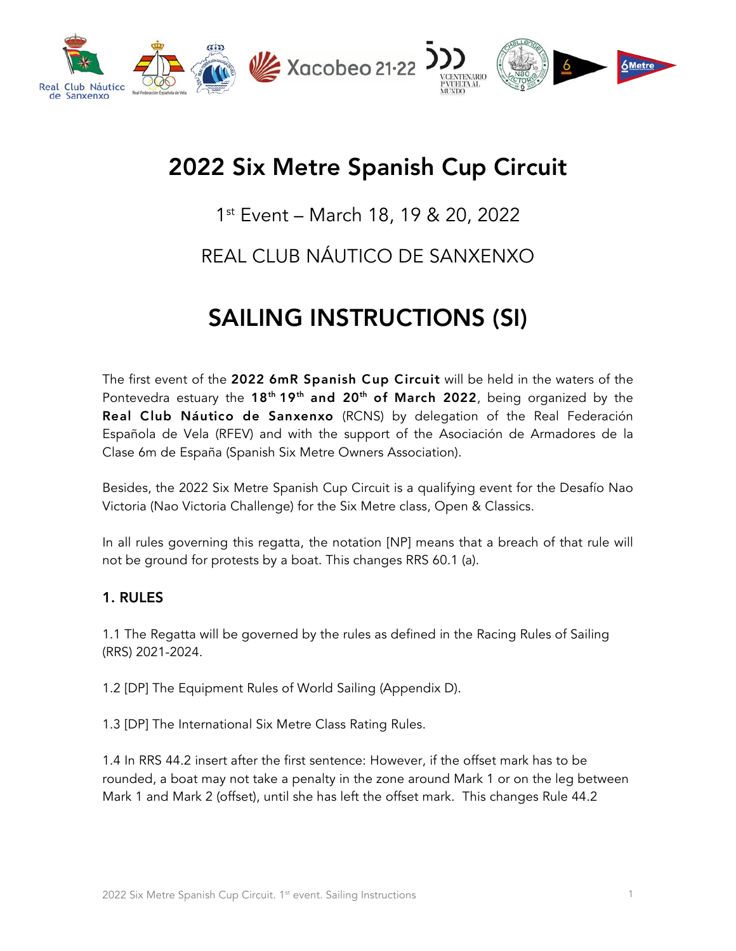

# 2022 Six Metre Spanish Cup Circuit

# 1st Event – March 18, 19 & 20, 2022

# REAL CLUB NÁUTICO DE SANXENXO

# SAILING INSTRUCTIONS (SI)

The first event of the 2022 6mR Spanish Cup Circuit will be held in the waters of the Pontevedra estuary the  $18<sup>th</sup> 19<sup>th</sup>$  and  $20<sup>th</sup>$  of March 2022, being organized by the Real Club Náutico de Sanxenxo (RCNS) by delegation of the Real Federación Española de Vela (RFEV) and with the support of the Asociación de Armadores de la Clase 6m de España (Spanish Six Metre Owners Association).

Besides, the 2022 Six Metre Spanish Cup Circuit is a qualifying event for the Desafío Nao Victoria (Nao Victoria Challenge) for the Six Metre class, Open & Classics.

In all rules governing this regatta, the notation [NP] means that a breach of that rule will not be ground for protests by a boat. This changes RRS 60.1 (a).

#### 1. RULES

1.1 The Regatta will be governed by the rules as defined in the Racing Rules of Sailing (RRS) 2021-2024.

1.2 [DP] The Equipment Rules of World Sailing (Appendix D).

1.3 [DP] The International Six Metre Class Rating Rules.

1.4 In RRS 44.2 insert after the first sentence: However, if the offset mark has to be rounded, a boat may not take a penalty in the zone around Mark 1 or on the leg between Mark 1 and Mark 2 (offset), until she has left the offset mark. This changes Rule 44.2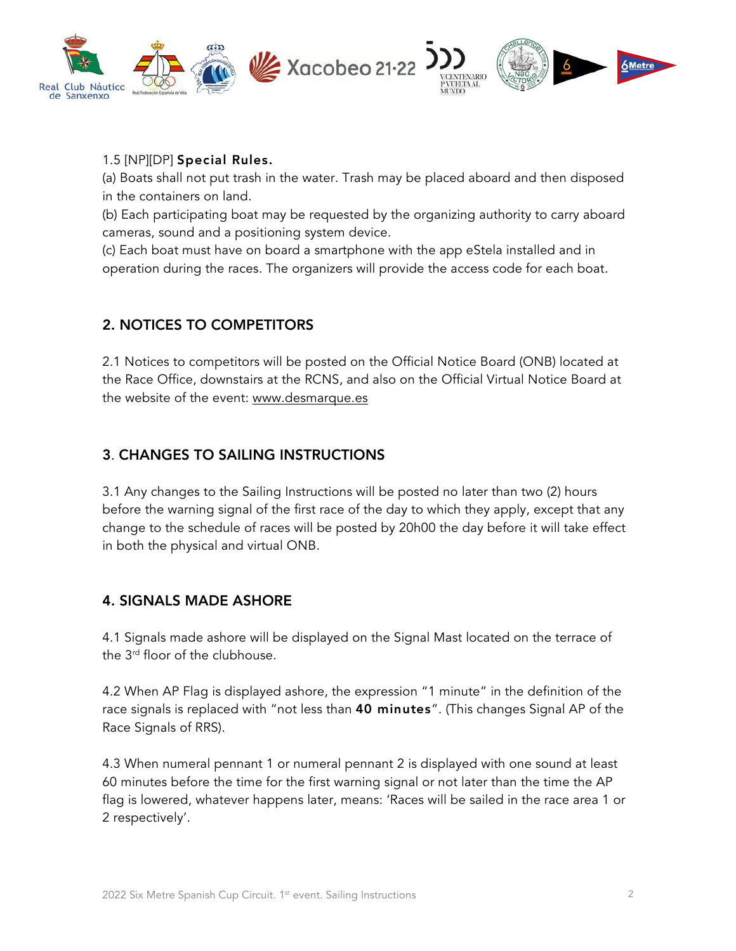

#### 1.5 [NP][DP] Special Rules.

(a) Boats shall not put trash in the water. Trash may be placed aboard and then disposed in the containers on land.

(b) Each participating boat may be requested by the organizing authority to carry aboard cameras, sound and a positioning system device.

(c) Each boat must have on board a smartphone with the app eStela installed and in operation during the races. The organizers will provide the access code for each boat.

## 2. NOTICES TO COMPETITORS

2.1 Notices to competitors will be posted on the Official Notice Board (ONB) located at the Race Office, downstairs at the RCNS, and also on the Official Virtual Notice Board at the website of the event: www.desmarque.es

#### 3. CHANGES TO SAILING INSTRUCTIONS

3.1 Any changes to the Sailing Instructions will be posted no later than two (2) hours before the warning signal of the first race of the day to which they apply, except that any change to the schedule of races will be posted by 20h00 the day before it will take effect in both the physical and virtual ONB.

#### 4. SIGNALS MADE ASHORE

4.1 Signals made ashore will be displayed on the Signal Mast located on the terrace of the 3<sup>rd</sup> floor of the clubhouse.

4.2 When AP Flag is displayed ashore, the expression "1 minute" in the definition of the race signals is replaced with "not less than 40 minutes". (This changes Signal AP of the Race Signals of RRS).

4.3 When numeral pennant 1 or numeral pennant 2 is displayed with one sound at least 60 minutes before the time for the first warning signal or not later than the time the AP flag is lowered, whatever happens later, means: 'Races will be sailed in the race area 1 or 2 respectively'.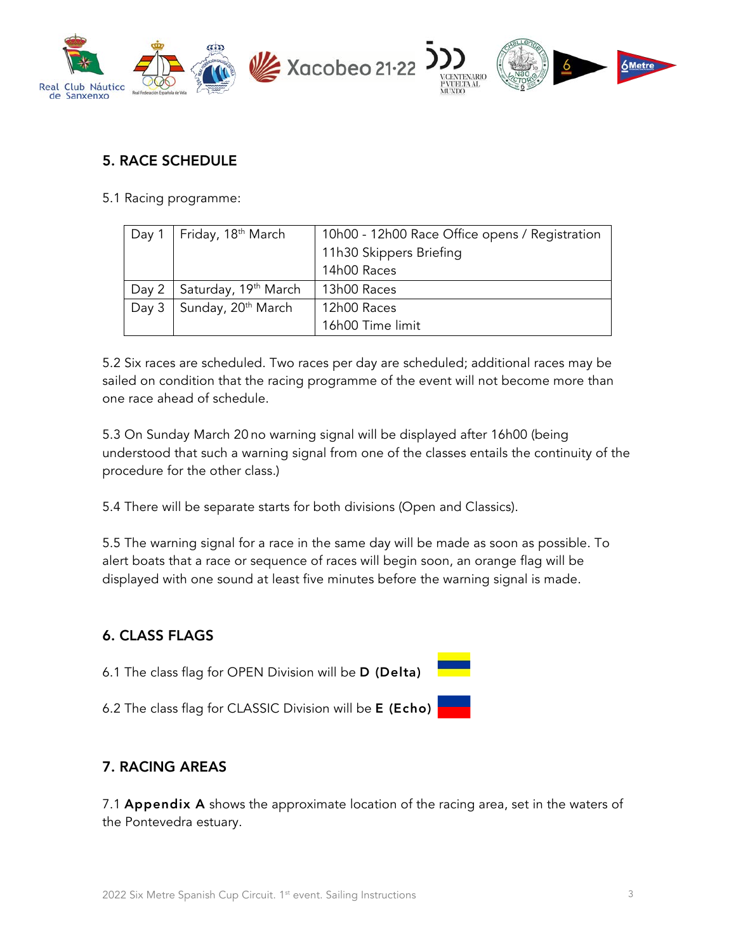

#### 5. RACE SCHEDULE

5.1 Racing programme:

| Day 1 | Friday, 18 <sup>th</sup> March   | 10h00 - 12h00 Race Office opens / Registration<br>11h30 Skippers Briefing<br>14h00 Races |
|-------|----------------------------------|------------------------------------------------------------------------------------------|
| Day 2 | Saturday, 19 <sup>th</sup> March | 13h00 Races                                                                              |
| Day 3 | Sunday, 20 <sup>th</sup> March   | 12h00 Races                                                                              |
|       |                                  | 16h00 Time limit                                                                         |

5.2 Six races are scheduled. Two races per day are scheduled; additional races may be sailed on condition that the racing programme of the event will not become more than one race ahead of schedule.

5.3 On Sunday March 20 no warning signal will be displayed after 16h00 (being understood that such a warning signal from one of the classes entails the continuity of the procedure for the other class.)

5.4 There will be separate starts for both divisions (Open and Classics).

5.5 The warning signal for a race in the same day will be made as soon as possible. To alert boats that a race or sequence of races will begin soon, an orange flag will be displayed with one sound at least five minutes before the warning signal is made.

## 6. CLASS FLAGS

- 6.1 The class flag for OPEN Division will be D (Delta)
- 6.2 The class flag for CLASSIC Division will be E (Echo)

#### 7. RACING AREAS

7.1 Appendix A shows the approximate location of the racing area, set in the waters of the Pontevedra estuary.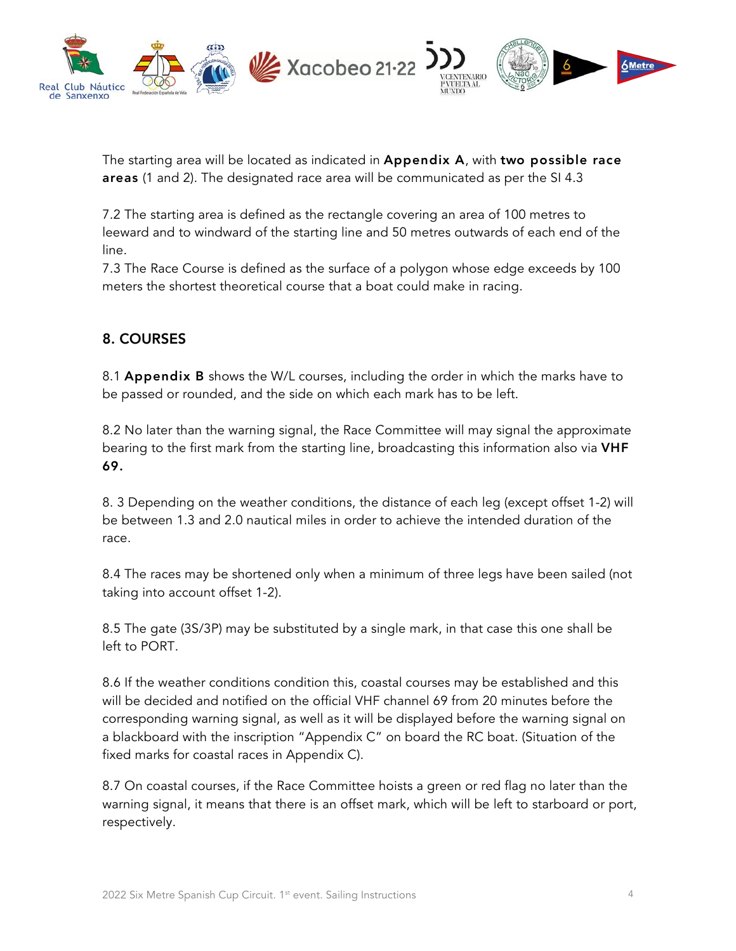

The starting area will be located as indicated in Appendix A, with two possible race areas (1 and 2). The designated race area will be communicated as per the SI 4.3

7.2 The starting area is defined as the rectangle covering an area of 100 metres to leeward and to windward of the starting line and 50 metres outwards of each end of the line.

7.3 The Race Course is defined as the surface of a polygon whose edge exceeds by 100 meters the shortest theoretical course that a boat could make in racing.

## 8. COURSES

8.1 Appendix B shows the W/L courses, including the order in which the marks have to be passed or rounded, and the side on which each mark has to be left.

8.2 No later than the warning signal, the Race Committee will may signal the approximate bearing to the first mark from the starting line, broadcasting this information also via VHF 69.

8. 3 Depending on the weather conditions, the distance of each leg (except offset 1-2) will be between 1.3 and 2.0 nautical miles in order to achieve the intended duration of the race.

8.4 The races may be shortened only when a minimum of three legs have been sailed (not taking into account offset 1-2).

8.5 The gate (3S/3P) may be substituted by a single mark, in that case this one shall be left to PORT.

8.6 If the weather conditions condition this, coastal courses may be established and this will be decided and notified on the official VHF channel 69 from 20 minutes before the corresponding warning signal, as well as it will be displayed before the warning signal on a blackboard with the inscription "Appendix C" on board the RC boat. (Situation of the fixed marks for coastal races in Appendix C).

8.7 On coastal courses, if the Race Committee hoists a green or red flag no later than the warning signal, it means that there is an offset mark, which will be left to starboard or port, respectively.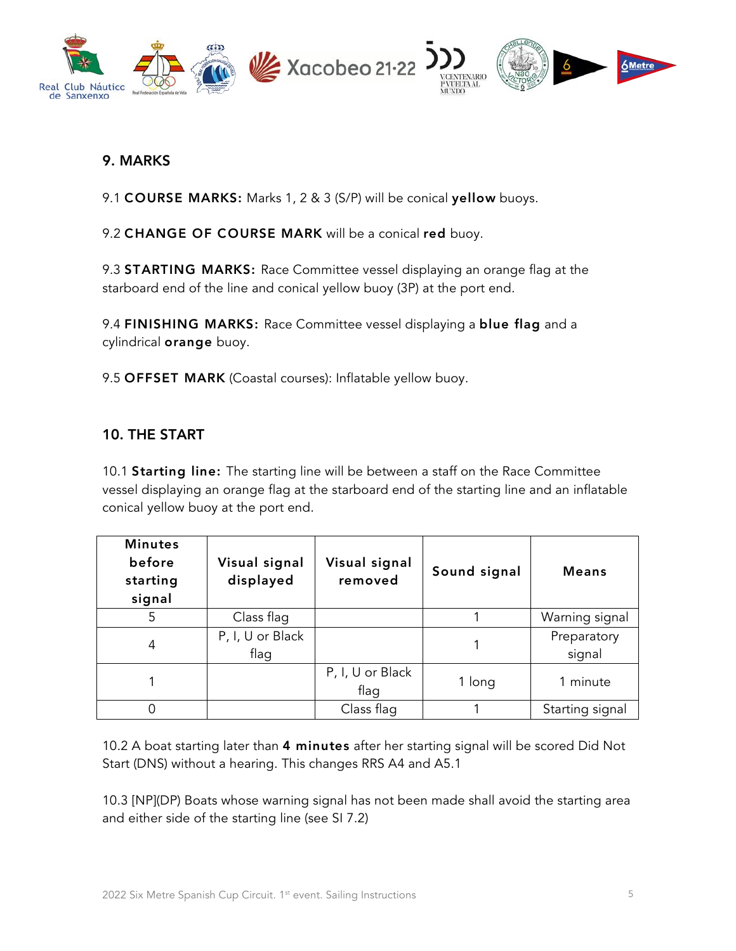

#### 9. MARKS

9.1 COURSE MARKS: Marks 1, 2 & 3 (S/P) will be conical yellow buoys.

9.2 CHANGE OF COURSE MARK will be a conical red buoy.

9.3 STARTING MARKS: Race Committee vessel displaying an orange flag at the starboard end of the line and conical yellow buoy (3P) at the port end.

9.4 FINISHING MARKS: Race Committee vessel displaying a blue flag and a cylindrical orange buoy.

9.5 OFFSET MARK (Coastal courses): Inflatable yellow buoy.

#### 10. THE START

10.1 **Starting line:** The starting line will be between a staff on the Race Committee vessel displaying an orange flag at the starboard end of the starting line and an inflatable conical yellow buoy at the port end.

| <b>Minutes</b><br>before<br>starting<br>signal | Visual signal<br>displayed | Visual signal<br>removed | Sound signal | <b>Means</b>          |
|------------------------------------------------|----------------------------|--------------------------|--------------|-----------------------|
| 5                                              | Class flag                 |                          |              | Warning signal        |
| 4                                              | P, I, U or Black<br>flag   |                          |              | Preparatory<br>signal |
|                                                |                            | P, I, U or Black<br>flag | 1 long       | 1 minute              |
|                                                |                            | Class flag               |              | Starting signal       |

10.2 A boat starting later than 4 minutes after her starting signal will be scored Did Not Start (DNS) without a hearing. This changes RRS A4 and A5.1

10.3 [NP](DP) Boats whose warning signal has not been made shall avoid the starting area and either side of the starting line (see SI 7.2)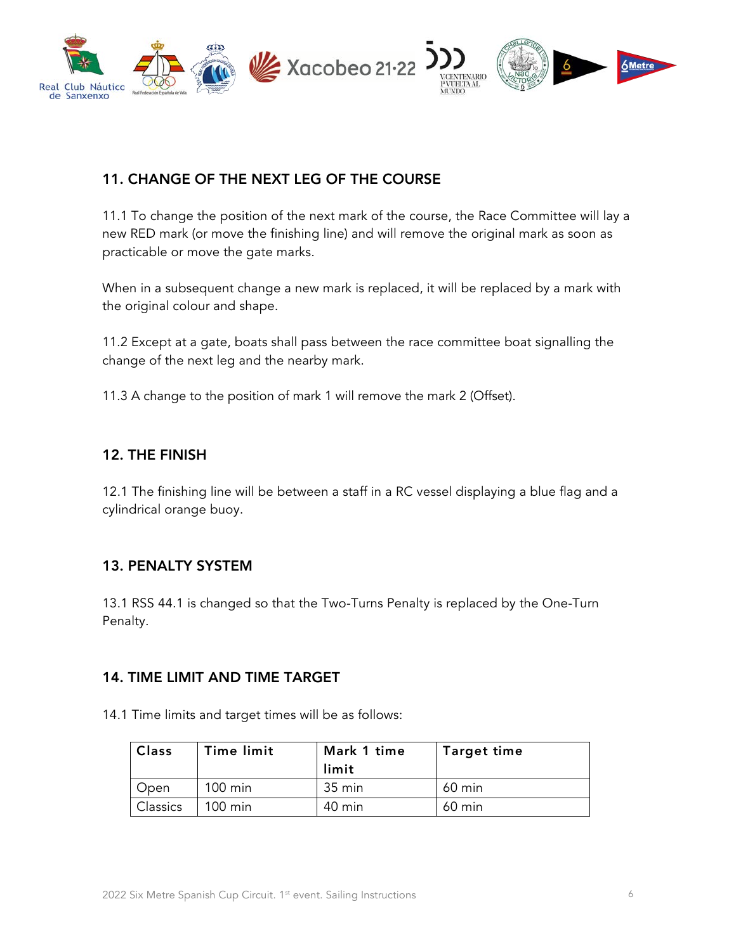

#### 11. CHANGE OF THE NEXT LEG OF THE COURSE

11.1 To change the position of the next mark of the course, the Race Committee will lay a new RED mark (or move the finishing line) and will remove the original mark as soon as practicable or move the gate marks.

When in a subsequent change a new mark is replaced, it will be replaced by a mark with the original colour and shape.

11.2 Except at a gate, boats shall pass between the race committee boat signalling the change of the next leg and the nearby mark.

11.3 A change to the position of mark 1 will remove the mark 2 (Offset).

#### 12. THE FINISH

12.1 The finishing line will be between a staff in a RC vessel displaying a blue flag and a cylindrical orange buoy.

#### 13. PENALTY SYSTEM

13.1 RSS 44.1 is changed so that the Two-Turns Penalty is replaced by the One-Turn Penalty.

#### 14. TIME LIMIT AND TIME TARGET

14.1 Time limits and target times will be as follows:

| <b>Class</b> | Time limit        | Mark 1 time<br>limit | <b>Target time</b> |
|--------------|-------------------|----------------------|--------------------|
| Open         | $100 \text{ min}$ | 35 min               | 60 min             |
| Classics     | $100 \text{ min}$ | 40 min               | $60 \text{ min}$   |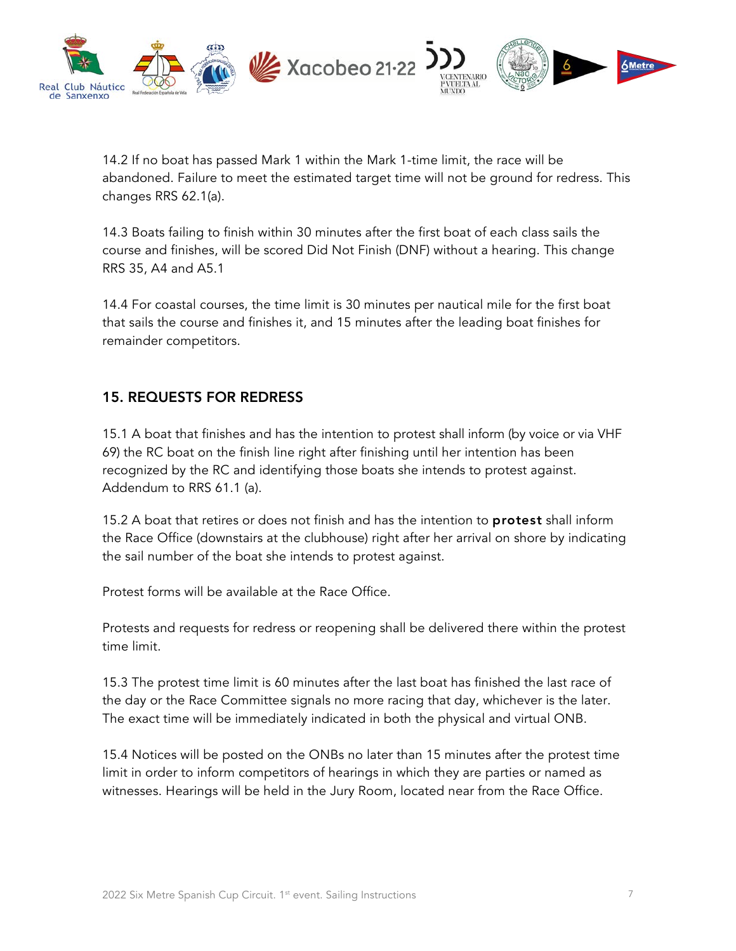

14.2 If no boat has passed Mark 1 within the Mark 1-time limit, the race will be abandoned. Failure to meet the estimated target time will not be ground for redress. This changes RRS 62.1(a).

14.3 Boats failing to finish within 30 minutes after the first boat of each class sails the course and finishes, will be scored Did Not Finish (DNF) without a hearing. This change RRS 35, A4 and A5.1

14.4 For coastal courses, the time limit is 30 minutes per nautical mile for the first boat that sails the course and finishes it, and 15 minutes after the leading boat finishes for remainder competitors.

#### 15. REQUESTS FOR REDRESS

15.1 A boat that finishes and has the intention to protest shall inform (by voice or via VHF 69) the RC boat on the finish line right after finishing until her intention has been recognized by the RC and identifying those boats she intends to protest against. Addendum to RRS 61.1 (a).

15.2 A boat that retires or does not finish and has the intention to **protest** shall inform the Race Office (downstairs at the clubhouse) right after her arrival on shore by indicating the sail number of the boat she intends to protest against.

Protest forms will be available at the Race Office.

Protests and requests for redress or reopening shall be delivered there within the protest time limit.

15.3 The protest time limit is 60 minutes after the last boat has finished the last race of the day or the Race Committee signals no more racing that day, whichever is the later. The exact time will be immediately indicated in both the physical and virtual ONB.

15.4 Notices will be posted on the ONBs no later than 15 minutes after the protest time limit in order to inform competitors of hearings in which they are parties or named as witnesses. Hearings will be held in the Jury Room, located near from the Race Office.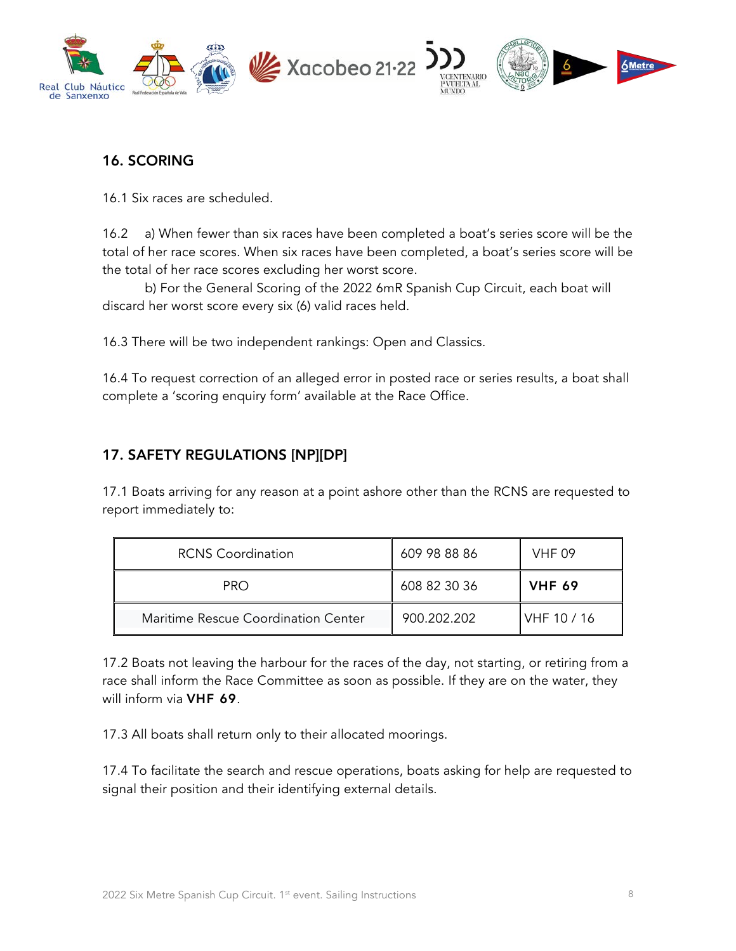

### 16. SCORING

16.1 Six races are scheduled.

16.2 a) When fewer than six races have been completed a boat's series score will be the total of her race scores. When six races have been completed, a boat's series score will be the total of her race scores excluding her worst score.

b) For the General Scoring of the 2022 6mR Spanish Cup Circuit, each boat will discard her worst score every six (6) valid races held.

16.3 There will be two independent rankings: Open and Classics.

16.4 To request correction of an alleged error in posted race or series results, a boat shall complete a 'scoring enquiry form' available at the Race Office.

#### 17. SAFETY REGULATIONS [NP][DP]

17.1 Boats arriving for any reason at a point ashore other than the RCNS are requested to report immediately to:

| <b>RCNS Coordination</b>            | 609 98 88 86 | <b>VHF 09</b>  |
|-------------------------------------|--------------|----------------|
| <b>PRO</b>                          | 608 82 30 36 | <b>VHF 69</b>  |
| Maritime Rescue Coordination Center | 900.202.202  | $IVHF$ 10 / 16 |

17.2 Boats not leaving the harbour for the races of the day, not starting, or retiring from a race shall inform the Race Committee as soon as possible. If they are on the water, they will inform via **VHF 69**.

17.3 All boats shall return only to their allocated moorings.

17.4 To facilitate the search and rescue operations, boats asking for help are requested to signal their position and their identifying external details.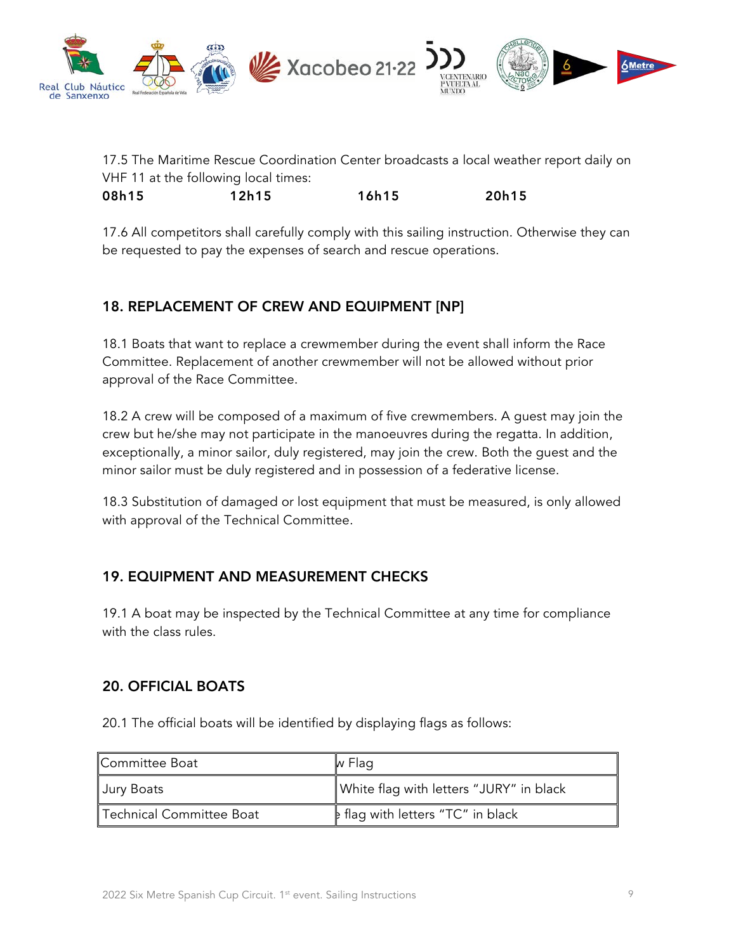

17.5 The Maritime Rescue Coordination Center broadcasts a local weather report daily on VHF 11 at the following local times:

08h15 12h15 16h15 20h15

17.6 All competitors shall carefully comply with this sailing instruction. Otherwise they can be requested to pay the expenses of search and rescue operations.

## 18. REPLACEMENT OF CREW AND EQUIPMENT [NP]

18.1 Boats that want to replace a crewmember during the event shall inform the Race Committee. Replacement of another crewmember will not be allowed without prior approval of the Race Committee.

18.2 A crew will be composed of a maximum of five crewmembers. A guest may join the crew but he/she may not participate in the manoeuvres during the regatta. In addition, exceptionally, a minor sailor, duly registered, may join the crew. Both the guest and the minor sailor must be duly registered and in possession of a federative license.

18.3 Substitution of damaged or lost equipment that must be measured, is only allowed with approval of the Technical Committee.

#### 19. EQUIPMENT AND MEASUREMENT CHECKS

19.1 A boat may be inspected by the Technical Committee at any time for compliance with the class rules.

#### 20. OFFICIAL BOATS

20.1 The official boats will be identified by displaying flags as follows:

| Committee Boat           | w Flag                                   |
|--------------------------|------------------------------------------|
| Jury Boats               | White flag with letters "JURY" in black  |
| Technical Committee Boat | <b>E</b> flag with letters "TC" in black |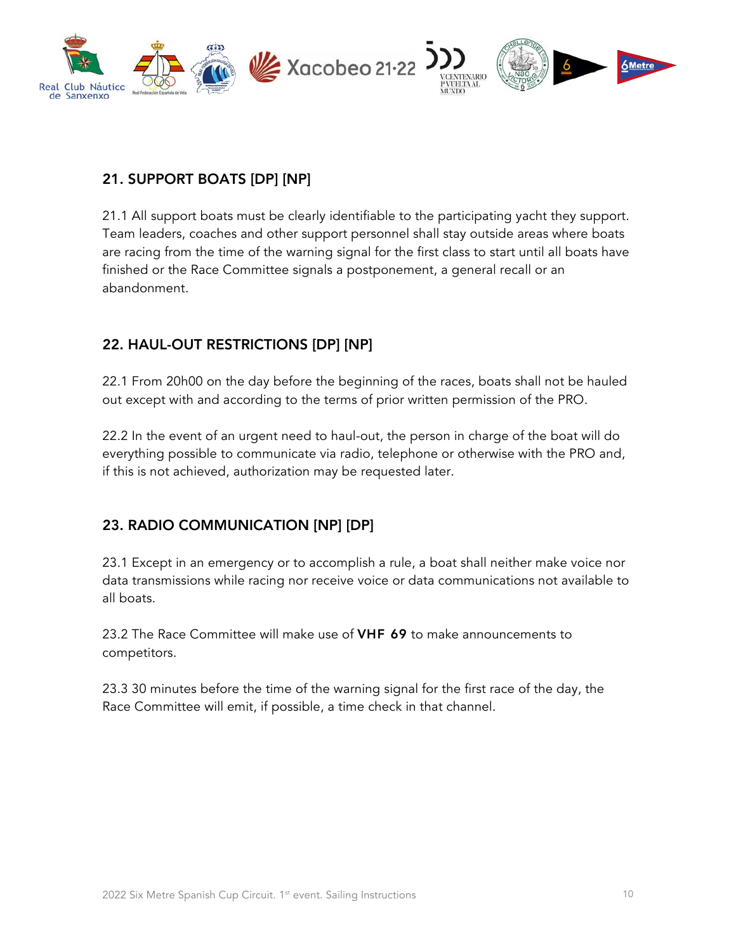

#### 21. SUPPORT BOATS [DP] [NP]

21.1 All support boats must be clearly identifiable to the participating yacht they support. Team leaders, coaches and other support personnel shall stay outside areas where boats are racing from the time of the warning signal for the first class to start until all boats have finished or the Race Committee signals a postponement, a general recall or an abandonment.

## 22. HAUL-OUT RESTRICTIONS [DP] [NP]

22.1 From 20h00 on the day before the beginning of the races, boats shall not be hauled out except with and according to the terms of prior written permission of the PRO.

22.2 In the event of an urgent need to haul-out, the person in charge of the boat will do everything possible to communicate via radio, telephone or otherwise with the PRO and, if this is not achieved, authorization may be requested later.

## 23. RADIO COMMUNICATION [NP] [DP]

23.1 Except in an emergency or to accomplish a rule, a boat shall neither make voice nor data transmissions while racing nor receive voice or data communications not available to all boats.

23.2 The Race Committee will make use of **VHF 69** to make announcements to competitors.

23.3 30 minutes before the time of the warning signal for the first race of the day, the Race Committee will emit, if possible, a time check in that channel.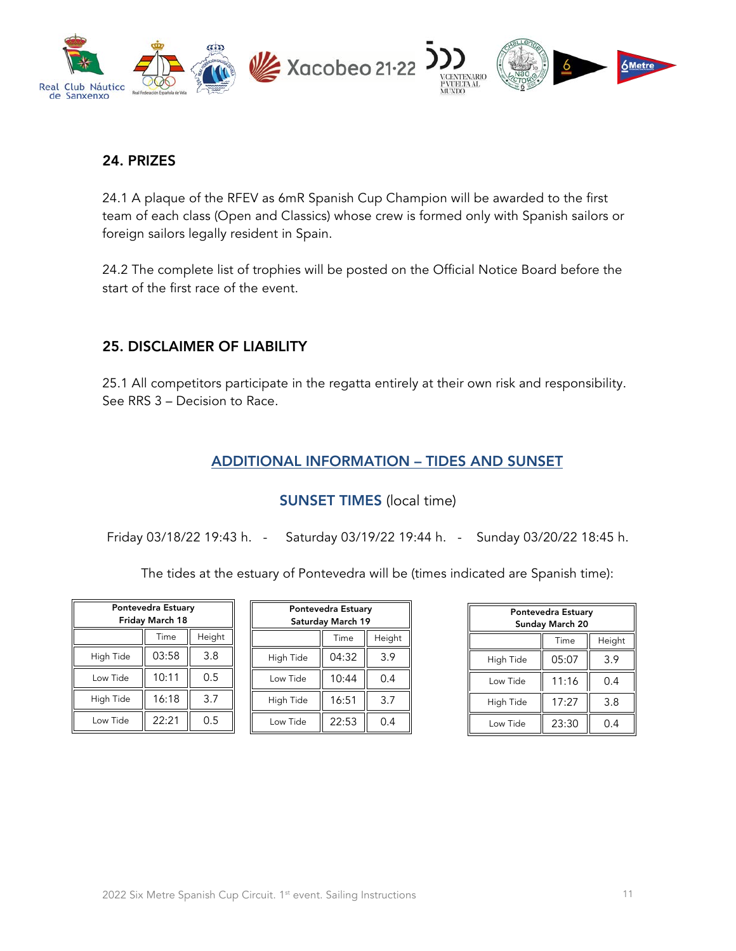

#### 24. PRIZES

24.1 A plaque of the RFEV as 6mR Spanish Cup Champion will be awarded to the first team of each class (Open and Classics) whose crew is formed only with Spanish sailors or foreign sailors legally resident in Spain.

24.2 The complete list of trophies will be posted on the Official Notice Board before the start of the first race of the event.

#### 25. DISCLAIMER OF LIABILITY

25.1 All competitors participate in the regatta entirely at their own risk and responsibility. See RRS 3 – Decision to Race.

#### ADDITIONAL INFORMATION – TIDES AND SUNSET

#### SUNSET TIMES (local time)

Friday 03/18/22 19:43 h. - Saturday 03/19/22 19:44 h. - Sunday 03/20/22 18:45 h.

The tides at the estuary of Pontevedra will be (times indicated are Spanish time):

| Pontevedra Estuary<br>Friday March 18 |       |        |
|---------------------------------------|-------|--------|
|                                       | Time  | Height |
| High Tide                             | 03:58 | 3.8    |
| Low Tide                              | 10:11 | 0.5    |
| High Tide                             | 16:18 | 3.7    |
| Low Tide                              | 22:21 | 0.5    |

| Pontevedra Estuary<br>Saturday March 19 |       |        |  |
|-----------------------------------------|-------|--------|--|
|                                         | Time  | Height |  |
| High Tide                               | 04:32 | 3.9    |  |
| Low Tide                                | 10:44 | 0.4    |  |
| High Tide                               | 16:51 | 3.7    |  |
| Low Tide                                | 22:53 | 0.4    |  |

| Pontevedra Estuary<br>Sunday March 20 |       |        |
|---------------------------------------|-------|--------|
|                                       | Time  | Height |
| High Tide                             | 05:07 | 3.9    |
| Low Tide                              | 11:16 | 0.4    |
| High Tide                             | 17:27 | 3.8    |
| Low Tide                              | 23:30 | 0.4    |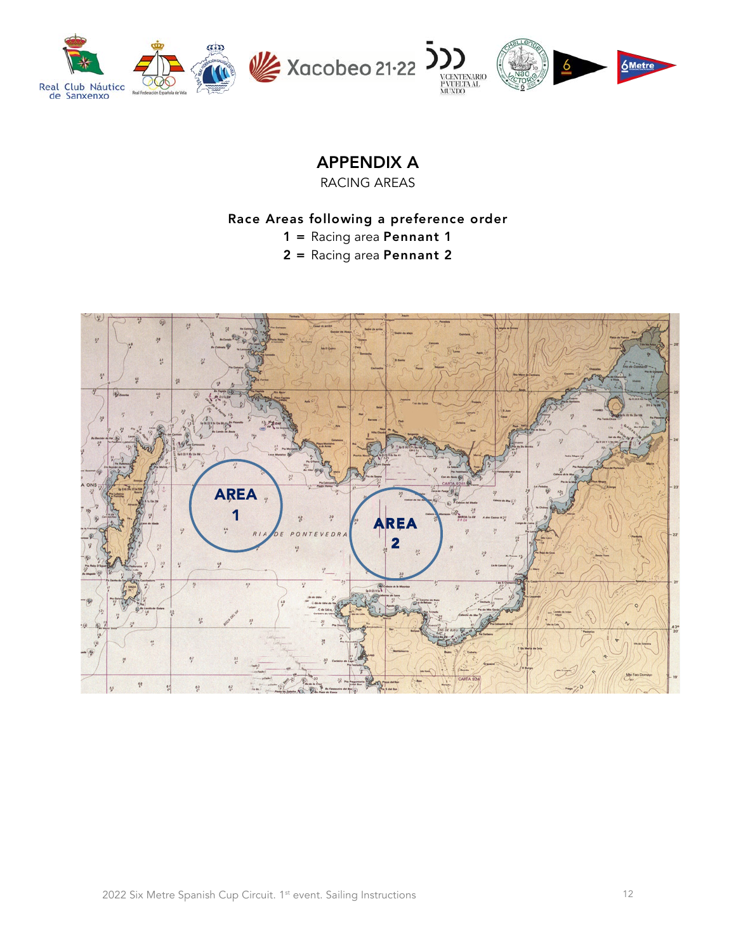

# APPENDIX A

RACING AREAS

#### Race Areas following a preference order

- 1 = Racing area Pennant 1
- 2 = Racing area Pennant 2

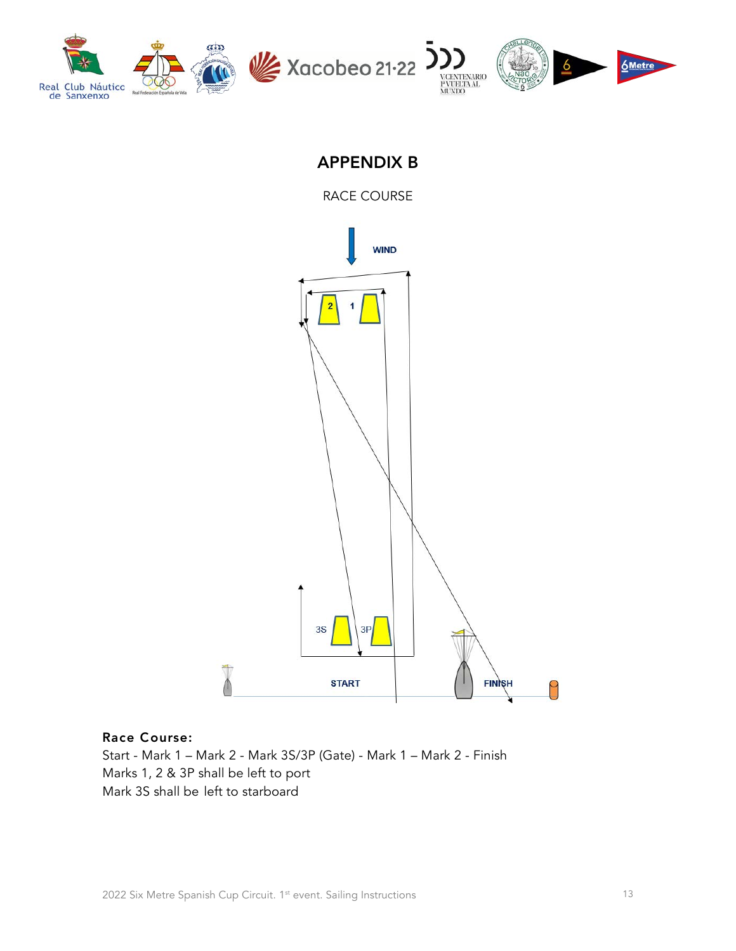

# APPENDIX B

RACE COURSE



#### Race Course:

Start - Mark 1 – Mark 2 - Mark 3S/3P (Gate) - Mark 1 – Mark 2 - Finish Marks 1, 2 & 3P shall be left to port Mark 3S shall be left to starboard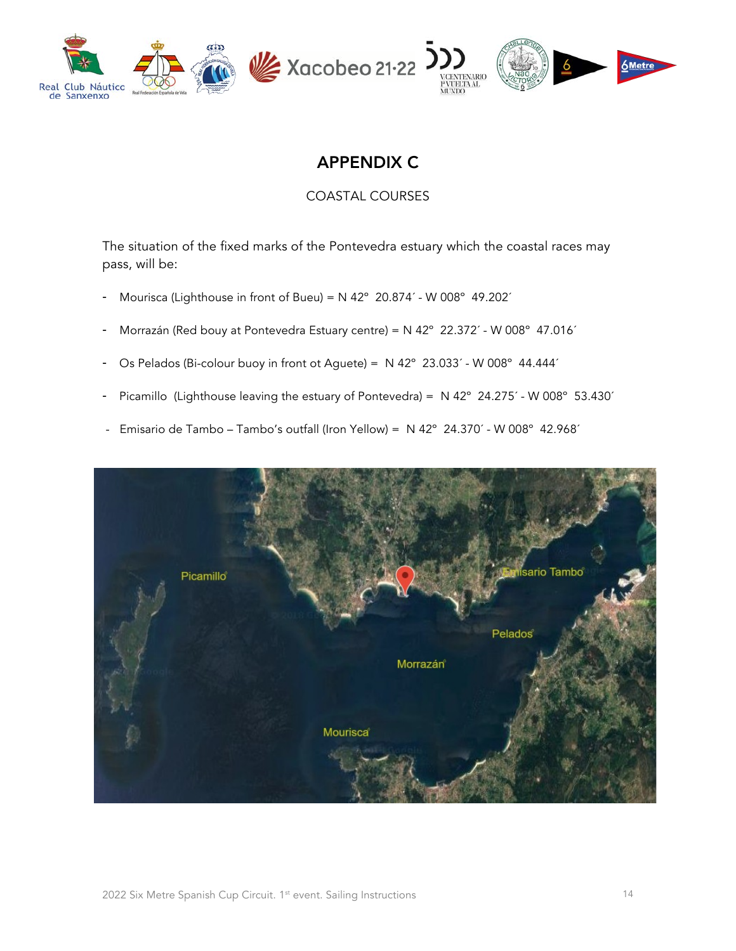

# APPENDIX C

COASTAL COURSES

The situation of the fixed marks of the Pontevedra estuary which the coastal races may pass, will be:

- Mourisca (Lighthouse in front of Bueu) =  $N$  42° 20.874´ W 008° 49.202´
- Morrazán (Red bouy at Pontevedra Estuary centre) = N 42° 22.372´ W 008° 47.016´
- Os Pelados (Bi-colour buoy in front ot Aguete) = N 42º 23.033´ W 008º 44.444´
- Picamillo (Lighthouse leaving the estuary of Pontevedra) = N 42º 24.275´ W 008º 53.430´
- Emisario de Tambo Tambo's outfall (Iron Yellow) = N 42° 24.370´ W 008° 42.968´